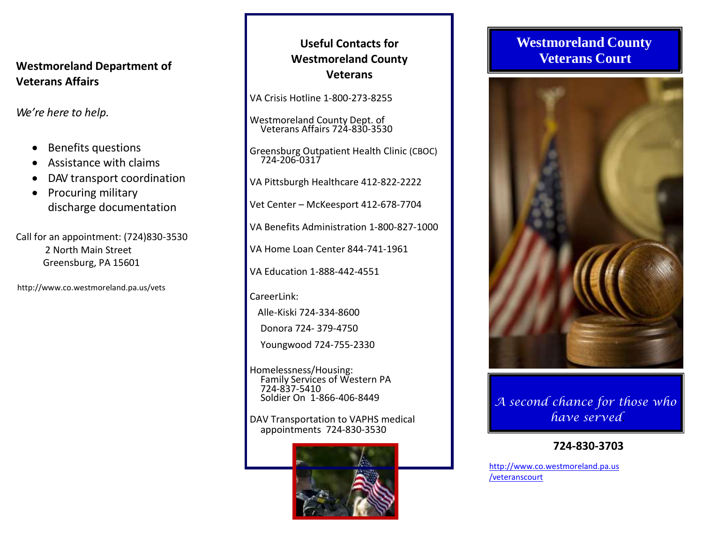## **Westmoreland Department of Veterans Affairs**

*We're here to help.*

- Benefits questions
- Assistance with claims
- DAV transport coordination
- Procuring military discharge documentation

Call for an appointment: (724)830-3530 2 North Main Street Greensburg, PA 15601

http://www.co.westmoreland.pa.us/vets

# **Useful Contacts for Westmoreland County Veterans**

VA Crisis Hotline 1-800-273-8255

Westmoreland County Dept. of Veterans Affairs 724-830-3530

Greensburg Outpatient Health Clinic (CBOC) 724-206-0317

VA Pittsburgh Healthcare 412-822-2222

Vet Center – McKeesport 412-678-7704

VA Benefits Administration 1-800-827-1000

VA Home Loan Center 844-741-1961

VA Education 1-888-442-4551

CareerLink:

Alle-Kiski 724-334-8600 Donora 724- 379-4750

Youngwood 724-755-2330

Homelessness/Housing: Family Services of Western PA 724-837-5410 Soldier On 1-866-406-8449

DAV Transportation to VAPHS medical appointments 724-830-3530



# **Westmoreland County Veterans Court**



*A second chance for those who have served***.**

# **724-830-3703**

[http://www.co.westmoreland.pa.us](http://www.co.westmoreland.pa.us/veteranscourt) [/veteranscourt](http://www.co.westmoreland.pa.us/veteranscourt)